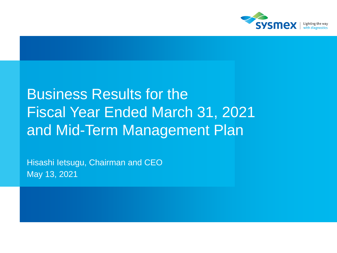

# Business Results for the Fiscal Year Ended March 31, 2021 and Mid-Term Management Plan

Hisashi Ietsugu, Chairman and CEO May 13, 2021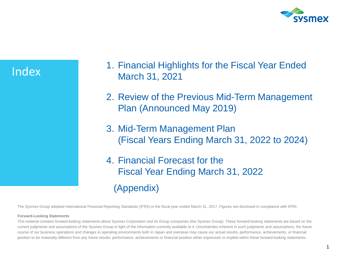

Index

- 1. Financial Highlights for the Fiscal Year Ended March 31, 2021
- 2. Review of the Previous Mid-Term Management Plan (Announced May 2019)
- 3. Mid-Term Management Plan (Fiscal Years Ending March 31, 2022 to 2024)
- 4. Financial Forecast for the Fiscal Year Ending March 31, 2022 (Appendix)

The Sysmex Group adopted International Financial Reporting Standards (IFRS) in the fiscal year ended March 31, 2017. Figures are disclosed in compliance with IFRS.

#### **Forward-Looking Statements**

This material contains forward-looking statements about Sysmex Corporation and its Group companies (the Sysmex Group). These forward-looking statements are based on the current judgments and assumptions of the Sysmex Group in light of the information currently available to it. Uncertainties inherent in such judgments and assumptions, the future course of our business operations and changes in operating environments both in Japan and overseas may cause our actual results, performance, achievements, or financial position to be materially different from any future results, performance, achievements or financial position either expressed or implied within these forward-looking statements.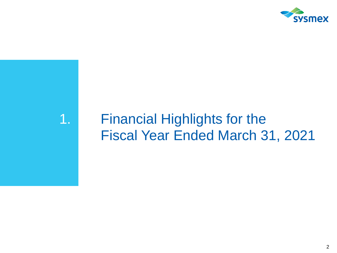

# 1. Financial Highlights for the Fiscal Year Ended March 31, 2021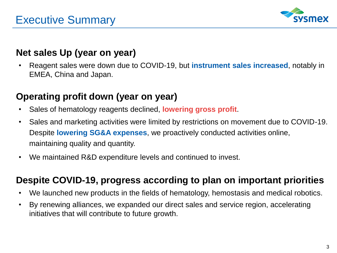

### **Net sales Up (year on year)**

• Reagent sales were down due to COVID-19, but **instrument sales increased**, notably in EMEA, China and Japan.

### **Operating profit down (year on year)**

- Sales of hematology reagents declined, **lowering gross profit**.
- Sales and marketing activities were limited by restrictions on movement due to COVID-19. Despite **lowering SG&A expenses**, we proactively conducted activities online, maintaining quality and quantity.
- We maintained R&D expenditure levels and continued to invest.

### **Despite COVID-19, progress according to plan on important priorities**

- We launched new products in the fields of hematology, hemostasis and medical robotics.
- By renewing alliances, we expanded our direct sales and service region, accelerating initiatives that will contribute to future growth.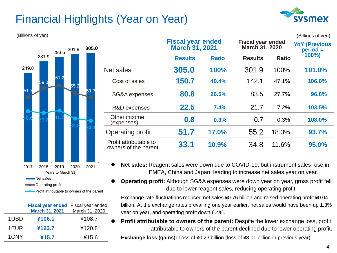# Financial Highlights (Year on Year)





Profit attributable to owners of the parent

|      | Fiscal year ended Fiscal year ended<br><b>March 31, 2021</b> | March 31, 2020 |  |
|------|--------------------------------------------------------------|----------------|--|
| 1USD | ¥106.1                                                       | ¥108.7         |  |
| 1EUR | ¥123.7                                                       | ¥120.8         |  |
| 1CNY | ¥15.7                                                        | ¥15.6          |  |

| (Billions of yen)    |       |                                                |                                                   |              |                                            |              | (Billions of yen)                  |
|----------------------|-------|------------------------------------------------|---------------------------------------------------|--------------|--------------------------------------------|--------------|------------------------------------|
| 293.5 301.9          | 305.0 |                                                | <b>Fiscal year ended</b><br><b>March 31, 2021</b> |              | <b>Fiscal year ended</b><br>March 31, 2020 |              | <b>YoY (Previous</b><br>$period =$ |
| 281.9                |       |                                                | <b>Results</b>                                    | <b>Ratio</b> | <b>Results</b>                             | <b>Ratio</b> | 100%)                              |
| 249.8                |       | Net sales                                      | 305.0                                             | 100%         | 301.9                                      | 100%         | 101.0%                             |
| 61.2<br>59.0<br>55.2 |       | Cost of sales                                  | 150.7                                             | 49.4%        | 142.1                                      | 47.1%        | 106.0%                             |
| 51                   | 51.7  | SG&A expenses                                  | 80.8                                              | 26.5%        | 83.5                                       | 27.7%        | 96.8%                              |
|                      |       | R&D expenses                                   | 22.5                                              | 7.4%         | 21.7                                       | 7.2%         | 103.5%                             |
|                      |       | Other income<br>(expenses)                     | 0.8                                               | 0.3%         | 0.7                                        | 0.3%         | 108.0%                             |
|                      |       | Operating profit                               | 51.7                                              | 17.0%        | 55.2                                       | 18.3%        | 93.7%                              |
|                      |       | Profit attributable to<br>owners of the parent | 33.1                                              | 10.9%        | 34.8                                       | 11.6%        | 95.0%                              |

- **Net sales:** Reagent sales were down due to COVID-19, but instrument sales rose in EMEA, China and Japan, leading to increase net sales year on year.
- **Operating profit:** Although SG&A expenses were down year on year, gross profit fell due to lower reagent sales, reducing operating profit.

Exchange rate fluctuations reduced net sales ¥0.76 billion and raised operating profit ¥0.04 billion. At the exchange rates prevailing one year earlier, net sales would have been up 1.3% year on year, and operating profit down 6.4%.

⚫ **Profit attributable to owners of the parent:** Despite the lower exchange loss, profit attributable to owners of the parent declined due to lower operating profit.

**Exchange loss (gains):** Loss of ¥0.23 billion (loss of ¥3.01 billion in previous year)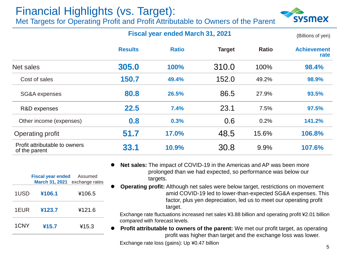### Financial Highlights (vs. Target): Met Targets for Operating Profit and Profit Attributable to Owners of the Parent



#### **Fiscal year ended March 31, 2021**

(Billions of yen)

|                                                | <b>Results</b> | <b>Ratio</b> | <b>Target</b> | <b>Ratio</b> | <b>Achievement</b><br>rate |
|------------------------------------------------|----------------|--------------|---------------|--------------|----------------------------|
| Net sales                                      | 305.0          | 100%         | 310.0         | 100%         | 98.4%                      |
| Cost of sales                                  | 150.7          | 49.4%        | 152.0         | 49.2%        | 98.9%                      |
| SG&A expenses                                  | 80.8           | 26.5%        | 86.5          | 27.9%        | 93.5%                      |
| R&D expenses                                   | 22.5           | 7.4%         | 23.1          | 7.5%         | 97.5%                      |
| Other income (expenses)                        | 0.8            | 0.3%         | 0.6           | 0.2%         | 141.2%                     |
| <b>Operating profit</b>                        | 51.7           | 17.0%        | 48.5          | 15.6%        | 106.8%                     |
| Profit attributable to owners<br>of the parent | 33.1           | 10.9%        | 30.8          | 9.9%         | 107.6%                     |

**Fiscal year ended March 31, 2021** exchange rates Assumed 1USD **¥106.1** ¥106.5 1EUR **¥123.7** ¥121.6 **Net sales:** The impact of COVID-19 in the Americas and AP was been more prolonged than we had expected, so performance was below our targets.

1CNY **¥15.7** ¥15.3

- ⚫ **Operating profit:** Although net sales were below target, restrictions on movement amid COVID-19 led to lower-than-expected SG&A expenses. This
	- factor, plus yen depreciation, led us to meet our operating profit target.

Exchange rate fluctuations increased net sales ¥3.88 billion and operating profit ¥2.01 billion compared with forecast levels.

**Profit attributable to owners of the parent:** We met our profit target, as operating profit was higher than target and the exchange loss was lower.

Exchange rate loss (gains): Up ¥0.47 billion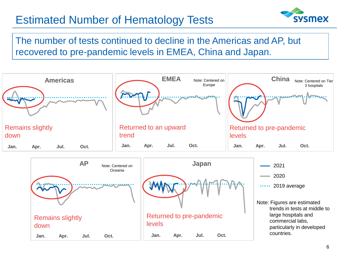# Estimated Number of Hematology Tests

 $Jan.$  **4pr. Jul.** 

Remains slightly

down



The number of tests continued to decline in the Americas and AP, but recovered to pre-pandemic levels in EMEA, China and Japan.



**1月 4月 7月 10月**

Returned to pre-pandemic

levels

**Jan. Apr. Jul. Oct. Jan. Apr. Jul. Oct.**

Note: Figures are estimated trends in tests at middle to large hospitals and commercial labs, particularly in developed countries.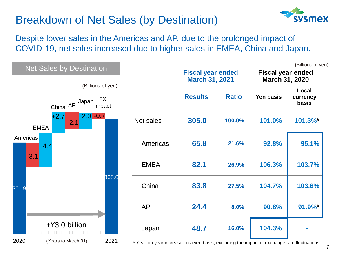## Breakdown of Net Sales (by Destination)

sysmex

Despite lower sales in the Americas and AP, due to the prolonged impact of COVID-19, net sales increased due to higher sales in EMEA, China and Japan.

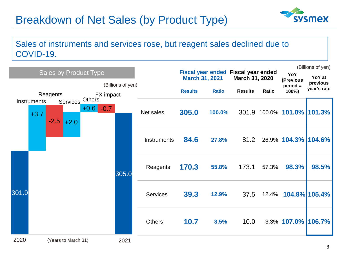# Breakdown of Net Sales (by Product Type)



### Sales of instruments and services rose, but reagent sales declined due to COVID-19.

|       |                                                       |                            |                 |                       |              |                                                              |       |                                | (Billions of yen)  |
|-------|-------------------------------------------------------|----------------------------|-----------------|-----------------------|--------------|--------------------------------------------------------------|-------|--------------------------------|--------------------|
|       | <b>Sales by Product Type</b>                          | (Billions of yen)          |                 | <b>March 31, 2021</b> |              | <b>Fiscal year ended Fiscal year ended</b><br>March 31, 2020 |       | YoY<br>(Previous<br>$period =$ | YoY at<br>previous |
|       | Reagents                                              | FX impact                  |                 | <b>Results</b>        | <b>Ratio</b> | <b>Results</b>                                               | Ratio | 100%)                          | year's rate        |
|       | Services<br>Instruments<br>$+3.7$<br>$-2.5$<br>$+2.0$ | Others<br>$+0.6$<br>$-0.7$ | Net sales       | 305.0                 | 100.0%       |                                                              |       | 301.9 100.0% 101.0% 101.3%     |                    |
|       |                                                       |                            | Instruments     | 84.6                  | 27.8%        | 81.2                                                         |       | 26.9% 104.3% 104.6%            |                    |
|       |                                                       | 305.0                      | Reagents        | 170.3                 | 55.8%        | 173.1                                                        | 57.3% | 98.3%                          | 98.5%              |
| 301.9 |                                                       |                            | <b>Services</b> | 39.3                  | 12.9%        | 37.5                                                         |       | 12.4% <b>104.8% 105.4%</b>     |                    |
|       |                                                       |                            | <b>Others</b>   | 10.7                  | 3.5%         | 10.0                                                         |       | 3.3% 107.0% 106.7%             |                    |
| 2020  | (Years to March 31)                                   | 2021                       |                 |                       |              |                                                              |       |                                |                    |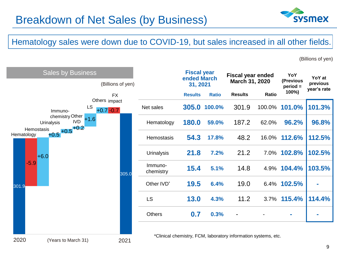

### Hematology sales were down due to COVID-19, but sales increased in all other fields.

(Billions of yen)



|                        | <b>Fiscal year</b><br>ended March<br>31, 2021 |              | <b>Fiscal year ended</b><br>March 31, 2020 |              | YoY<br>(Previous<br>$period =$ |             | YoY at<br>previous |  |  |  |
|------------------------|-----------------------------------------------|--------------|--------------------------------------------|--------------|--------------------------------|-------------|--------------------|--|--|--|
|                        | <b>Results</b>                                | <b>Ratio</b> | <b>Results</b>                             | <b>Ratio</b> | 100%)                          | year's rate |                    |  |  |  |
| Net sales              | 305.0                                         | 100.0%       | 301.9                                      |              | 100.0% 101.0%                  | 101.3%      |                    |  |  |  |
| Hematology             | 180.0                                         | 59.0%        | 187.2                                      | 62.0%        | 96.2%                          | 96.8%       |                    |  |  |  |
| Hemostasis             | 54.3                                          | 17.8%        | 48.2                                       | 16.0%        | 112.6%                         | 112.5%      |                    |  |  |  |
| <b>Urinalysis</b>      | 21.8                                          | 7.2%         | 21.2                                       |              | 7.0% 102.8%                    | 102.5%      |                    |  |  |  |
| Immuno-<br>chemistry   | 15.4                                          | 5.1%         | 14.8                                       |              | 4.9% 104.4%                    | 103.5%      |                    |  |  |  |
| Other IVD <sup>*</sup> | 19.5                                          | 6.4%         | 19.0                                       |              | 6.4% 102.5%                    |             |                    |  |  |  |
| <b>LS</b>              | 13.0                                          | 4.3%         | 11.2                                       | 3.7%         | 115.4%                         | 114.4%      |                    |  |  |  |
| <b>Others</b>          | 0.7                                           | 0.3%         |                                            |              |                                |             |                    |  |  |  |

\*Clinical chemistry, FCM, laboratory information systems, etc.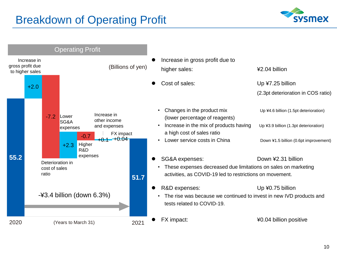# Breakdown of Operating Profit



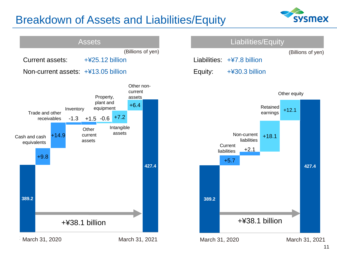# Breakdown of Assets and Liabilities/Equity



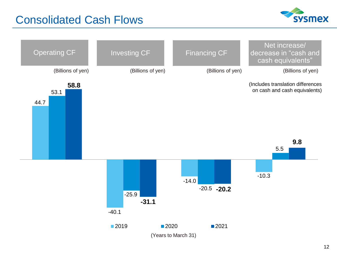## Consolidated Cash Flows



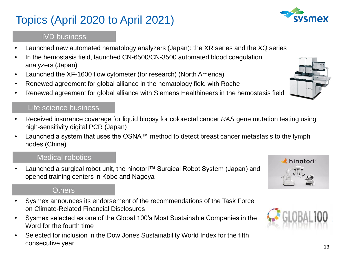# Topics (April 2020 to April 2021)

### IVD business

- Launched new automated hematology analyzers (Japan): the XR series and the XQ series
- In the hemostasis field, launched CN-6500/CN-3500 automated blood coagulation analyzers (Japan)
- Launched the XF-1600 flow cytometer (for research) (North America)
- Renewed agreement for global alliance in the hematology field with Roche
- Renewed agreement for global alliance with Siemens Healthineers in the hemostasis field

#### Life science business

- Received insurance coverage for liquid biopsy for colorectal cancer *RAS* gene mutation testing using high-sensitivity digital PCR (Japan)
- Launched a system that uses the OSNA™ method to detect breast cancer metastasis to the lymph nodes (China)

### Medical robotics

• Launched a surgical robot unit, the hinotori™ Surgical Robot System (Japan) and opened training centers in Kobe and Nagoya

### **Others**

- Sysmex announces its endorsement of the recommendations of the Task Force on Climate-Related Financial Disclosures
- Sysmex selected as one of the Global 100's Most Sustainable Companies in the Word for the fourth time
- Selected for inclusion in the Dow Jones Sustainability World Index for the fifth consecutive year







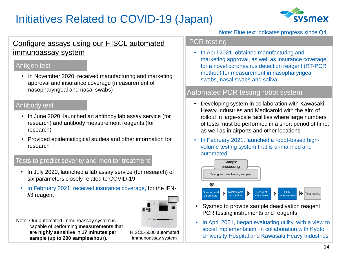# Initiatives Related to COVID-19 (Japan)



### Configure assays using our HISCL automated immunoassay system

#### Antigen test

• In November 2020, received manufacturing and marketing approval and insurance coverage (measurement of nasopharyngeal and nasal swabs)

#### Antibody test

- In June 2020, launched an antibody lab assay service (for research) and antibody measurement reagents (for research)
- Provided epidemiological studies and other information for research

#### Tests to predict severity and monitor treatment

- In July 2020, launched a lab assay service (for research) of six parameters closely related to COVID-19
- In February 2021, received insurance coverage, for the IFNλ3 reagent



Note: Our automated immunoassay system is capable of performing **measurements** that **are highly sensitive** in **17 minutes per sample (up to 200 samples/hour).**

HISCL-5000 automated immunoassay system

Note: Blue text indicates progress since Q4.

#### PCR testing

• In April 2021, obtained manufacturing and marketing approval, as well as insurance coverage, for a novel coronavirus detection reagent (RT-PCR method) for measurement in nasopharyngeal swabs, nasal swabs and saliva

#### Automated PCR testing robot system

- Developing system in collaboration with Kawasaki Heavy Industries and Medicaroid with the aim of rollout in large-scale facilities where large numbers of tests must be performed in a short period of time, as well as in airports and other locations
- In February 2021, launched a robot-based highvolume testing system that is unmanned and automated



- Sysmex to provide sample deactivation reagent, PCR testing instruments and reagents
- In April 2021, began evaluating utility, with a view to social implementation, in collaboration with Kyoto University Hospital and Kawasaki Heavy Industries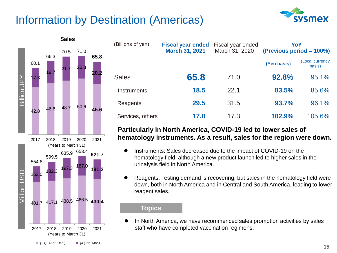# Information by Destination (Americas)





| (Billions of yen)  | <b>Fiscal year ended</b><br><b>March 31, 2021</b> | Fiscal year ended<br>March 31, 2020 | YoY<br>(Previous period = 100%) |                           |
|--------------------|---------------------------------------------------|-------------------------------------|---------------------------------|---------------------------|
|                    |                                                   |                                     | (Yen basis)                     | (Local currency<br>basis) |
| <b>Sales</b>       | 65.8                                              | 71.0                                | 92.8%                           | 95.1%                     |
| <b>Instruments</b> | 18.5                                              | 22.1                                | 83.5%                           | 85.6%                     |
| Reagents           | 29.5                                              | 31.5                                | 93.7%                           | 96.1%                     |
| Services, others   | 17.8                                              | 17.3                                | 102.9%                          | 105.6%                    |

#### **Particularly in North America, COVID-19 led to lower sales of hematology instruments. As a result, sales for the region were down.**

- ⚫ Instruments: Sales decreased due to the impact of COVID-19 on the hematology field, although a new product launch led to higher sales in the urinalysis field in North America.
- ⚫ Reagents: Testing demand is recovering, but sales in the hematology field were down, both in North America and in Central and South America, leading to lower reagent sales.

#### **Topics**

⚫ In North America, we have recommenced sales promotion activities by sales staff who have completed vaccination regimens.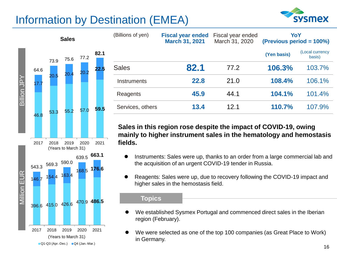# Information by Destination (EMEA)





| (Billions of yen)  | <b>Fiscal year ended</b><br><b>March 31, 2021</b> | Fiscal year ended<br>March 31, 2020 |             | YoY<br>(Previous period = 100%) |
|--------------------|---------------------------------------------------|-------------------------------------|-------------|---------------------------------|
|                    |                                                   |                                     | (Yen basis) | (Local currency<br>basis)       |
| <b>Sales</b>       | 82.1                                              | 77.2                                | 106.3%      | 103.7%                          |
| <b>Instruments</b> | 22.8                                              | 21.0                                | 108.4%      | 106.1%                          |
| Reagents           | 45.9                                              | 44.1                                | 104.1%      | 101.4%                          |
| Services, others   | 13.4                                              | 12.1                                | 110.7%      | 107.9%                          |

**Sales in this region rose despite the impact of COVID-19, owing mainly to higher instrument sales in the hematology and hemostasis fields.** 

- Instruments: Sales were up, thanks to an order from a large commercial lab and the acquisition of an urgent COVID-19 tender in Russia.
- ⚫ Reagents: Sales were up, due to recovery following the COVID-19 impact and higher sales in the hemostasis field.

#### **Topics**

- We established Sysmex Portugal and commenced direct sales in the Iberian region (February).
- We were selected as one of the top 100 companies (as Great Place to Work) in Germany.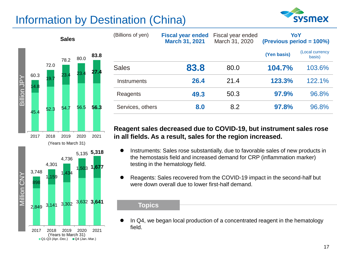# Information by Destination (China)





| (Billions of yen) | <b>Fiscal year ended</b><br><b>March 31, 2021</b> | Fiscal year ended<br>March 31, 2020 | YoY<br>(Previous period = 100%) |                           |
|-------------------|---------------------------------------------------|-------------------------------------|---------------------------------|---------------------------|
|                   |                                                   |                                     | (Yen basis)                     | (Local currency<br>basis) |
| <b>Sales</b>      | 83.8                                              | 80.0                                | 104.7%                          | 103.6%                    |
| Instruments       | 26.4                                              | 21.4                                | 123.3%                          | 122.1%                    |
| Reagents          | 49.3                                              | 50.3                                | 97.9%                           | 96.8%                     |
| Services, others  | 8.0                                               | 8.2                                 | 97.8%                           | 96.8%                     |

#### **Reagent sales decreased due to COVID-19, but instrument sales rose in all fields. As a result, sales for the region increased.**

- ⚫ Instruments: Sales rose substantially, due to favorable sales of new products in the hemostasis field and increased demand for CRP (inflammation marker) testing in the hematology field.
- ⚫ Reagents: Sales recovered from the COVID-19 impact in the second-half but were down overall due to lower first-half demand.

#### **Topics**

⚫ In Q4, we began local production of a concentrated reagent in the hematology field.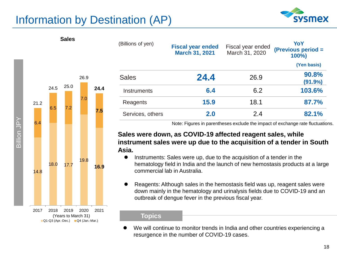# Information by Destination (AP)





**Sales**

| (Billions of yen) | <b>Fiscal year ended</b><br><b>March 31, 2021</b> | Fiscal year ended<br>March 31, 2020 | YoY<br>(Previous period =<br>$100\%$ |
|-------------------|---------------------------------------------------|-------------------------------------|--------------------------------------|
|                   |                                                   |                                     | (Yen basis)                          |
| <b>Sales</b>      | 24.4                                              | 26.9                                | 90.8%<br>(91.9%                      |
| Instruments       | 6.4                                               | 6.2                                 | 103.6%                               |
| Reagents          | 15.9                                              | 18.1                                | 87.7%                                |
| Services, others  | 2.0                                               | 2.4                                 | 82.1%                                |

Note: Figures in parentheses exclude the impact of exchange rate fluctuations.

#### **Sales were down, as COVID-19 affected reagent sales, while instrument sales were up due to the acquisition of a tender in South Asia.**

- ⚫ Instruments: Sales were up, due to the acquisition of a tender in the hematology field in India and the launch of new hemostasis products at a large commercial lab in Australia.
- ⚫ Reagents: Although sales in the hemostasis field was up, reagent sales were down mainly in the hematology and urinalysis fields due to COVID-19 and an outbreak of dengue fever in the previous fiscal year.

#### **Topics**

We will continue to monitor trends in India and other countries experiencing a resurgence in the number of COVID-19 cases.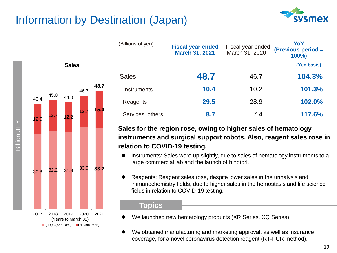# Information by Destination (Japan)



| (Billions of yen)  | <b>Fiscal year ended</b><br><b>March 31, 2021</b> | Fiscal year ended<br>March 31, 2020 | YoY<br>(Previous period =<br>$100\%$ |
|--------------------|---------------------------------------------------|-------------------------------------|--------------------------------------|
|                    |                                                   |                                     | (Yen basis)                          |
| <b>Sales</b>       | 48.7                                              | 46.7                                | 104.3%                               |
| <b>Instruments</b> | 10.4                                              | 10.2                                | 101.3%                               |
| Reagents           | 29.5                                              | 28.9                                | 102.0%                               |
| Services, others   | 8.7                                               | 7.4                                 | 117.6%                               |

#### **Sales for the region rose, owing to higher sales of hematology instruments and surgical support robots. Also, reagent sales rose in relation to COVID-19 testing.**

- ⚫ Instruments: Sales were up slightly, due to sales of hematology instruments to a large commercial lab and the launch of hinotori.
- ⚫ Reagents: Reagent sales rose, despite lower sales in the urinalysis and immunochemistry fields, due to higher sales in the hemostasis and life science fields in relation to COVID-19 testing.

#### **Topics**

- We launched new hematology products (XR Series, XQ Series).
- We obtained manufacturing and marketing approval, as well as insurance coverage, for a novel coronavirus detection reagent (RT-PCR method).



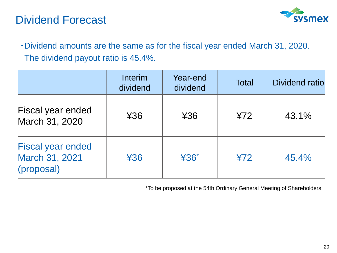

・Dividend amounts are the same as for the fiscal year ended March 31, 2020. The dividend payout ratio is 45.4%.

|                                                          | <b>Interim</b><br>dividend | Year-end<br>dividend | <b>Total</b> | Dividend ratio |
|----------------------------------------------------------|----------------------------|----------------------|--------------|----------------|
| Fiscal year ended<br>March 31, 2020                      | 436                        | ¥36                  | 472          | 43.1%          |
| <b>Fiscal year ended</b><br>March 31, 2021<br>(proposal) | 436                        | $436*$               | 472          | 45.4%          |

\*To be proposed at the 54th Ordinary General Meeting of Shareholders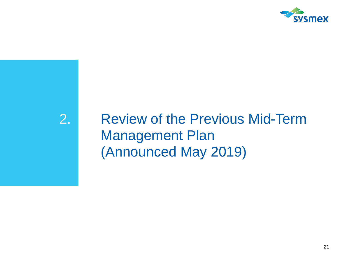

# 2. Review of the Previous Mid-Term Management Plan (Announced May 2019)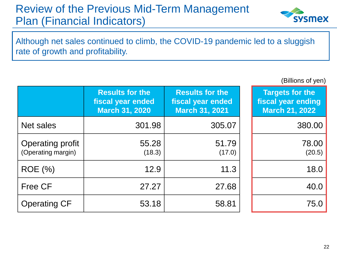# Review of the Previous Mid-Term Management Plan (Financial Indicators)



Although net sales continued to climb, the COVID-19 pandemic led to a sluggish rate of growth and profitability.

(Billions of yen)

|                                        | <b>Results for the</b><br>fiscal year ended<br><b>March 31, 2020</b> | <b>Results for the</b><br>fiscal year ended<br><b>March 31, 2021</b> | <b>Targets for the</b><br>fiscal year ending<br><b>March 21, 2022</b> |
|----------------------------------------|----------------------------------------------------------------------|----------------------------------------------------------------------|-----------------------------------------------------------------------|
| Net sales                              | 301.98                                                               | 305.07                                                               | 380.00                                                                |
| Operating profit<br>(Operating margin) | 55.28<br>(18.3)                                                      | 51.79<br>(17.0)                                                      | 78.00<br>(20.5)                                                       |
| <b>ROE</b> (%)                         | 12.9                                                                 | 11.3                                                                 | 18.0                                                                  |
| <b>Free CF</b>                         | 27.27                                                                | 27.68                                                                | 40.0                                                                  |
| <b>Operating CF</b>                    | 53.18                                                                | 58.81                                                                | 75.0                                                                  |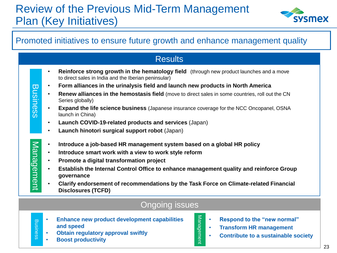# Review of the Previous Mid-Term Management Plan (Key Initiatives)



### Promoted initiatives to ensure future growth and enhance management quality

|                 |           | <b>Results</b>                                                                                                                                          |
|-----------------|-----------|---------------------------------------------------------------------------------------------------------------------------------------------------------|
|                 |           | <b>Reinforce strong growth in the hematology field</b> (through new product launches and a move<br>to direct sales in India and the Iberian peninsular) |
| <b>Business</b> | $\bullet$ | Form alliances in the urinalysis field and launch new products in North America                                                                         |
|                 | $\bullet$ | <b>Renew alliances in the hemostasis field</b> (move to direct sales in some countries, roll out the CN<br>Series globally)                             |
|                 | $\bullet$ | <b>Expand the life science business</b> (Japanese insurance coverage for the NCC Oncopanel, OSNA<br>launch in China)                                    |
|                 | $\bullet$ | Launch COVID-19-related products and services (Japan)                                                                                                   |
|                 | $\bullet$ | Launch hinotori surgical support robot (Japan)                                                                                                          |
|                 | $\bullet$ | Introduce a job-based HR management system based on a global HR policy                                                                                  |
|                 | $\bullet$ | Introduce smart work with a view to work style reform                                                                                                   |
|                 | $\bullet$ | Promote a digital transformation project                                                                                                                |
| Management      | $\bullet$ | Establish the Internal Control Office to enhance management quality and reinforce Group<br>governance                                                   |
|                 | $\bullet$ | Clarify endorsement of recommendations by the Task Force on Climate-related Financial<br><b>Disclosures (TCFD)</b>                                      |
|                 |           |                                                                                                                                                         |

#### Ongoing issues

Management

Management

- **Enhance new product development capabilities and speed**
- **Obtain regulatory approval swiftly**
- **Boost productivity**

Business

**Business** 

- **Respond to the "new normal"**
- **Transform HR management**
- **Contribute to a sustainable society**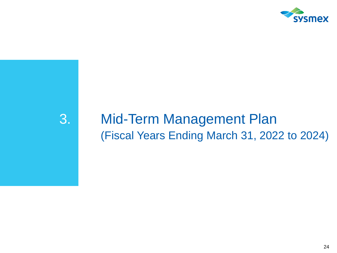

# 3. Mid-Term Management Plan (Fiscal Years Ending March 31, 2022 to 2024)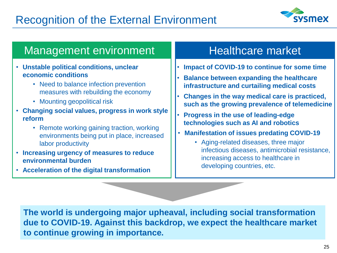

### Management environment

- **Unstable political conditions, unclear economic conditions**
	- Need to balance infection prevention measures with rebuilding the economy
	- Mounting geopolitical risk
- **Changing social values, progress in work style reform**
	- Remote working gaining traction, working environments being put in place, increased labor productivity
- **Increasing urgency of measures to reduce environmental burden**
- **Acceleration of the digital transformation**

## Healthcare market

- **Impact of COVID-19 to continue for some time**
- **Balance between expanding the healthcare infrastructure and curtailing medical costs**
- **Changes in the way medical care is practiced, such as the growing prevalence of telemedicine**
- **Progress in the use of leading-edge technologies such as AI and robotics**
- **Manifestation of issues predating COVID-19**
	- Aging-related diseases, three major infectious diseases, antimicrobial resistance, increasing access to healthcare in developing countries, etc.

**The world is undergoing major upheaval, including social transformation due to COVID-19. Against this backdrop, we expect the healthcare market to continue growing in importance.**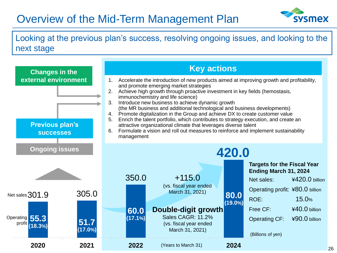# Overview of the Mid-Term Management Plan



Looking at the previous plan's success, resolving ongoing issues, and looking to the next stage

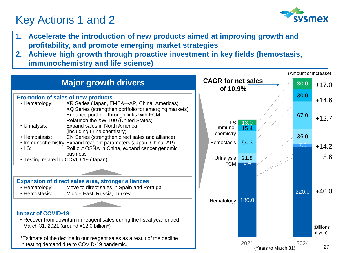# Key Actions 1 and 2



- **1. Accelerate the introduction of new products aimed at improving growth and profitability, and promote emerging market strategies**
- **2. Achieve high growth through proactive investment in key fields (hemostasis, immunochemistry and life science)**

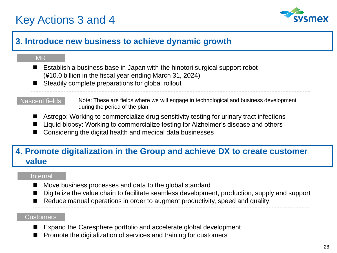# Key Actions 3 and 4



### **3. Introduce new business to achieve dynamic growth**

#### MR

- Establish a business base in Japan with the hinotori surgical support robot (¥10.0 billion in the fiscal year ending March 31, 2024)
- Steadily complete preparations for global rollout

#### Nascent fields

Note: These are fields where we will engage in technological and business development during the period of the plan.

- Astrego: Working to commercialize drug sensitivity testing for urinary tract infections
- Liquid biopsy: Working to commercialize testing for Alzheimer's disease and others
- ◼ Considering the digital health and medical data businesses

### **4. Promote digitalization in the Group and achieve DX to create customer value**

#### Internal

- Move business processes and data to the global standard
- Digitalize the value chain to facilitate seamless development, production, supply and support
- Reduce manual operations in order to augment productivity, speed and quality

#### Customers

- Expand the Caresphere portfolio and accelerate global development
- ◼ Promote the digitalization of services and training for customers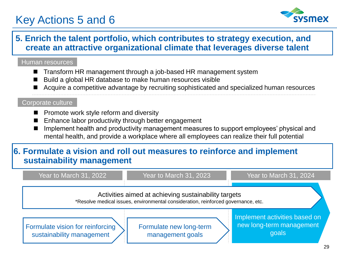# Key Actions 5 and 6



### **5. Enrich the talent portfolio, which contributes to strategy execution, and create an attractive organizational climate that leverages diverse talent**

#### Human resources

- ◼ Transform HR management through a job-based HR management system
- Build a global HR database to make human resources visible
- Acquire a competitive advantage by recruiting sophisticated and specialized human resources

#### Corporate culture

- Promote work style reform and diversity
- Enhance labor productivity through better engagement
- Implement health and productivity management measures to support employees' physical and mental health, and provide a workplace where all employees can realize their full potential

### **6. Formulate a vision and roll out measures to reinforce and implement sustainability management**

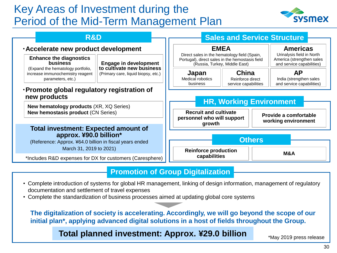# Key Areas of Investment during the Period of the Mid-Term Management Plan



| <b>R&amp;D</b>                                                                                                                                            |                                                           |                                                                                                                | <b>Sales and Service Structure</b>           |                                                                   |  |
|-----------------------------------------------------------------------------------------------------------------------------------------------------------|-----------------------------------------------------------|----------------------------------------------------------------------------------------------------------------|----------------------------------------------|-------------------------------------------------------------------|--|
| · Accelerate new product development<br><b>Enhance the diagnostics</b>                                                                                    |                                                           | <b>EMEA</b><br>Direct sales in the hematology field (Spain,<br>Portugal), direct sales in the hemostasis field | <b>Americas</b><br>Urinalysis field in North |                                                                   |  |
| <b>business</b><br>(Expand the hematology portfolio,                                                                                                      | <b>Engage in development</b><br>to cultivate new business | (Russia, Turkey, Middle East)                                                                                  |                                              | America (strengthen sales<br>and service capabilities)            |  |
| increase immunochemistry reagent<br>parameters, etc.)                                                                                                     | (Primary care, liquid biopsy, etc.)                       | China<br>Japan<br><b>Medical robotics</b><br>Reinforce direct<br>business<br>service capabilities              |                                              | <b>AP</b><br>India (strengthen sales<br>and service capabilities) |  |
| ·Promote global regulatory registration of<br>new products<br><b>New hematology products (XR, XQ Series)</b><br><b>New hemostasis product (CN Series)</b> |                                                           | <b>Recruit and cultivate</b><br>personnel who will support                                                     | <b>HR, Working Environment</b>               | Provide a comfortable                                             |  |
|                                                                                                                                                           |                                                           |                                                                                                                |                                              | working environment                                               |  |
| <b>Total investment: Expected amount of</b><br>approx. ¥90.0 billion*<br>(Reference: Approx. ¥64.0 billion in fiscal years ended                          |                                                           | growth                                                                                                         | <b>Others</b>                                |                                                                   |  |

#### **Promotion of Group Digitalization**

- Complete introduction of systems for global HR management, linking of design information, management of regulatory documentation and settlement of travel expenses
- Complete the standardization of business processes aimed at updating global core systems

**The digitalization of society is accelerating. Accordingly, we will go beyond the scope of our initial plan\*, applying advanced digital solutions in a host of fields throughout the Group.**

### **Total planned investment: Approx. ¥29.0 billion** \*May 2019 press release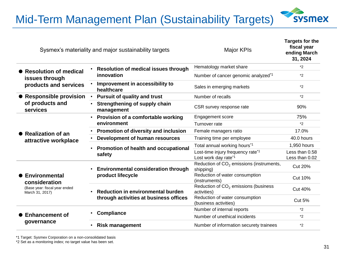Mid-Term Management Plan (Sustainability Targets)



|                                                  |           | Sysmex's materiality and major sustainability targets | <b>Major KPIs</b>                                                 | Targets for the<br>fiscal year<br>ending March<br>31, 2024 |
|--------------------------------------------------|-----------|-------------------------------------------------------|-------------------------------------------------------------------|------------------------------------------------------------|
|                                                  |           | <b>Resolution of medical issues through</b>           | Hematology market share                                           | $*2$                                                       |
| • Resolution of medical<br>issues through        |           | innovation                                            | Number of cancer genomic analyzed <sup>*1</sup>                   | $*2$                                                       |
| products and services                            |           | Improvement in accessibility to<br>healthcare         | Sales in emerging markets                                         | $*2$                                                       |
| • Responsible provision                          |           | <b>Pursuit of quality and trust</b>                   | Number of recalls                                                 | $*2$                                                       |
| of products and<br>services                      |           | Strengthening of supply chain<br>management           | CSR survey response rate                                          | 90%                                                        |
|                                                  |           | Provision of a comfortable working                    | <b>Engagement score</b>                                           | 75%                                                        |
|                                                  |           | environment                                           | Turnover rate                                                     | $*_{2}$                                                    |
| • Realization of an                              |           | Promotion of diversity and inclusion                  | Female managers ratio                                             | 17.0%                                                      |
| attractive workplace                             |           | Development of human resources                        | Training time per employee                                        | 40.0 hours                                                 |
|                                                  | $\bullet$ | Promotion of health and occupational                  | Total annual working hours <sup>*1</sup>                          | 1,950 hours                                                |
|                                                  |           | safety                                                | Lost-time injury frequency rate*1<br>Lost work day rate*1         | Less than 0.58<br>Less than 0.02                           |
|                                                  |           | <b>Environmental consideration through</b>            | Reduction of CO <sub>2</sub> emissions (instruments,<br>shipping) | <b>Cut 20%</b>                                             |
| Environmental<br>consideration                   |           | product lifecycle                                     | Reduction of water consumption<br>(instruments)                   | <b>Cut 10%</b>                                             |
| (Base year: fiscal year ended<br>March 31, 2017) | $\bullet$ | <b>Reduction in environmental burden</b>              | Reduction of CO <sub>2</sub> emissions (business<br>activities)   | <b>Cut 40%</b>                                             |
|                                                  |           | through activities at business offices                | Reduction of water consumption<br>(business activities)           | <b>Cut 5%</b>                                              |
|                                                  |           | Compliance                                            | Number of internal reports                                        | $*_{2}$                                                    |
| <b>Enhancement of</b>                            |           |                                                       | Number of unethical incidents                                     | $*2$                                                       |
| governance                                       |           | <b>Risk management</b>                                | Number of information securety trainees                           | $*2$                                                       |

\*1 Target: Sysmex Corporation on a non-consolidated basis

\*2 Set as a monitoring index; no target value has been set.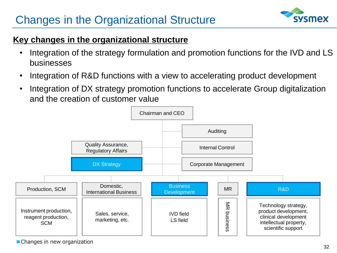# Changes in the Organizational Structure



### **Key changes in the organizational structure**

- Integration of the strategy formulation and promotion functions for the IVD and LS businesses
- Integration of R&D functions with a view to accelerating product development
- Integration of DX strategy promotion functions to accelerate Group digitalization and the creation of customer value



■ Changes in new organization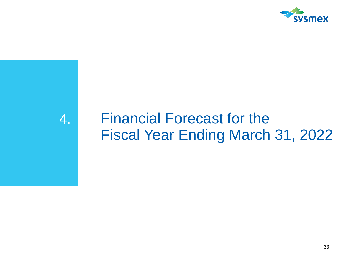

# 4. Financial Forecast for the Fiscal Year Ending March 31, 2022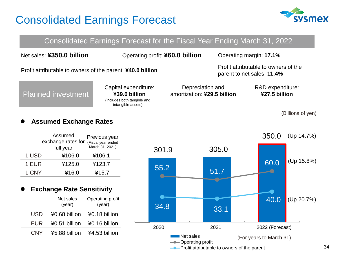

|                                                                                                                                  | Consolidated Earnings Forecast for the Fiscal Year Ending March 31, 2022                   |                                                 |  |                                   |  |  |
|----------------------------------------------------------------------------------------------------------------------------------|--------------------------------------------------------------------------------------------|-------------------------------------------------|--|-----------------------------------|--|--|
| Net sales: ¥350.0 billion                                                                                                        | Operating profit: ¥60.0 billion                                                            |                                                 |  | Operating margin: 17.1%           |  |  |
| Profit attributable to owners of the<br>Profit attributable to owners of the parent: ¥40.0 billion<br>parent to net sales: 11.4% |                                                                                            |                                                 |  |                                   |  |  |
| <b>Planned investment</b>                                                                                                        | Capital expenditure:<br>¥39.0 billion<br>(includes both tangible and<br>intangible assets) | Depreciation and<br>amortization: ¥29.5 billion |  | R&D expenditure:<br>¥27.5 billion |  |  |
|                                                                                                                                  |                                                                                            |                                                 |  | (Billions of yen)                 |  |  |

#### ⚫ **Assumed Exchange Rates**

|       | Assumed<br>exchange rates for | Previous year<br>(Fiscal year ended |
|-------|-------------------------------|-------------------------------------|
|       | full year                     | March 31, 2021)                     |
| 1 USD | ¥106.0                        | ¥106.1                              |
| 1 EUR | ¥125.0                        | ¥123.7                              |
| 1 CNY | ¥16.0                         | ¥15.7                               |

#### ⚫ **Exchange Rate Sensitivity**

|            | Net sales<br>(year) | Operating profit<br>(year) |
|------------|---------------------|----------------------------|
| USD        | ¥0.68 billion       | ¥0.18 billion              |
| EUR        | ¥0.51 billion       | ¥0.16 billion              |
| <b>CNY</b> | ¥5.88 billion       | ¥4.53 billion              |

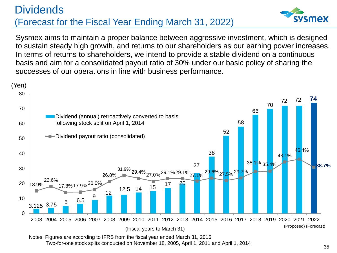### **Dividends** (Forecast for the Fiscal Year Ending March 31, 2022)



Sysmex aims to maintain a proper balance between aggressive investment, which is designed to sustain steady high growth, and returns to our shareholders as our earning power increases. In terms of returns to shareholders, we intend to provide a stable dividend on a continuous basis and aim for a consolidated payout ratio of 30% under our basic policy of sharing the successes of our operations in line with business performance.



Two-for-one stock splits conducted on November 18, 2005, April 1, 2011 and April 1, 2014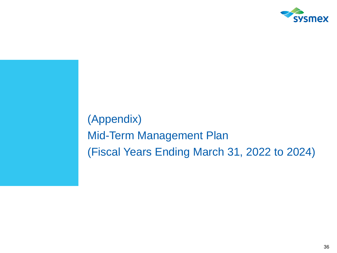

(Appendix) Mid-Term Management Plan (Fiscal Years Ending March 31, 2022 to 2024)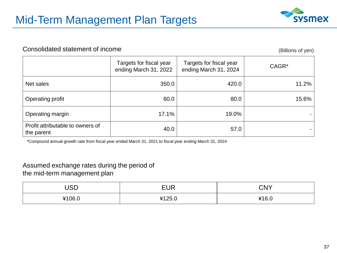

#### Consolidated statement of income (Billions of yen)

|                                                | Targets for fiscal year<br>ending March 31, 2022 | Targets for fiscal year<br>ending March 31, 2024 | CAGR* |
|------------------------------------------------|--------------------------------------------------|--------------------------------------------------|-------|
| Net sales                                      | 350.0                                            | 420.0                                            | 11.2% |
| Operating profit                               | 60.0                                             | 80.0                                             | 15.6% |
| Operating margin                               | 17.1%                                            | 19.0%                                            |       |
| Profit attributable to owners of<br>the parent | 40.0                                             | 57.0                                             |       |

\*Compound annual growth rate from fiscal year ended March 31, 2021 to fiscal year ending March 31, 2024

#### Assumed exchange rates during the period of the mid-term management plan

| ICD<br>ບວ∟ | <b>EUR</b> | CNY   |
|------------|------------|-------|
| ¥106.0     | 4125.0     | ¥16.0 |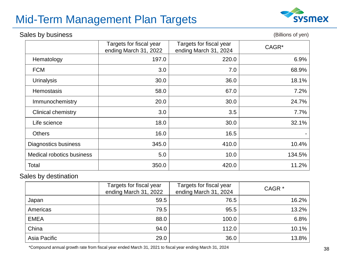# Mid-Term Management Plan Targets

#### Sales by business

(Billions of yen)

|                             | Targets for fiscal year<br>ending March 31, 2022 | Targets for fiscal year<br>ending March 31, 2024 | CAGR*  |
|-----------------------------|--------------------------------------------------|--------------------------------------------------|--------|
| Hematology                  | 197.0                                            | 220.0                                            | 6.9%   |
| <b>FCM</b>                  | 3.0                                              | 7.0                                              | 68.9%  |
| <b>Urinalysis</b>           | 30.0                                             | 36.0                                             | 18.1%  |
| <b>Hemostasis</b>           | 58.0                                             | 67.0                                             | 7.2%   |
| Immunochemistry             | 20.0                                             | 30.0                                             | 24.7%  |
| <b>Clinical chemistry</b>   | 3.0                                              | 3.5                                              | 7.7%   |
| Life science                | 18.0                                             | 30.0                                             | 32.1%  |
| <b>Others</b>               | 16.0                                             | 16.5                                             |        |
| <b>Diagnostics business</b> | 345.0                                            | 410.0                                            | 10.4%  |
| Medical robotics business   | 5.0                                              | 10.0                                             | 134.5% |
| Total                       | 350.0                                            | 420.0                                            | 11.2%  |

#### Sales by destination

|              | Targets for fiscal year<br>ending March 31, 2022 | Targets for fiscal year<br>ending March 31, 2024 | CAGR <sup>*</sup> |
|--------------|--------------------------------------------------|--------------------------------------------------|-------------------|
| Japan        | 59.5                                             | 76.5                                             | $16.2\%$          |
| Americas     | 79.5                                             | 95.5                                             | 13.2%             |
| <b>EMEA</b>  | 88.0                                             | 100.0                                            | 6.8%              |
| China        | 94.0                                             | 112.0                                            | 10.1%             |
| Asia Pacific | 29.0                                             | 36.0                                             | 13.8%             |

\*Compound annual growth rate from fiscal year ended March 31, 2021 to fiscal year ending March 31, 2024

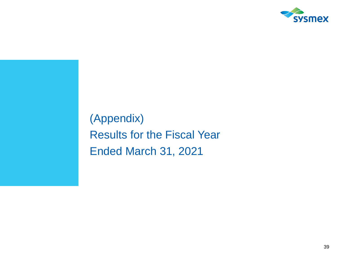

(Appendix) Results for the Fiscal Year Ended March 31, 2021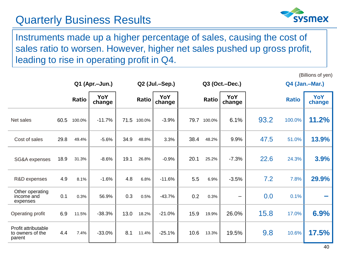## Quarterly Business Results



(Billions of yen)

Instruments made up a higher percentage of sales, causing the cost of sales ratio to worsen. However, higher net sales pushed up gross profit, leading to rise in operating profit in Q4.

|                                                   |      |        | Q1 (Apr.-Jun.) |      | Q2 (Jul.-Sep.) |               | Q3 (Oct.-Dec.) |        |               |      | Q4 (Jan.-Mar.) |               |
|---------------------------------------------------|------|--------|----------------|------|----------------|---------------|----------------|--------|---------------|------|----------------|---------------|
|                                                   |      | Ratio  | YoY<br>change  |      | Ratio          | YoY<br>change |                | Ratio  | YoY<br>change |      | <b>Ratio</b>   | YoY<br>change |
| Net sales                                         | 60.5 | 100.0% | $-11.7%$       |      | 71.5 100.0%    | $-3.9%$       | 79.7           | 100.0% | 6.1%          | 93.2 | 100.0%         | 11.2%         |
| Cost of sales                                     | 29.8 | 49.4%  | $-5.6%$        | 34.9 | 48.8%          | 3.3%          | 38.4           | 48.2%  | 9.9%          | 47.5 | 51.0%          | 13.9%         |
| SG&A expenses                                     | 18.9 | 31.3%  | $-8.6%$        | 19.1 | 26.8%          | $-0.9%$       | 20.1           | 25.2%  | $-7.3%$       | 22.6 | 24.3%          | 3.9%          |
| R&D expenses                                      | 4.9  | 8.1%   | $-1.6%$        | 4.8  | 6.8%           | $-11.6%$      | 5.5            | 6.9%   | $-3.5%$       | 7.2  | 7.8%           | 29.9%         |
| Other operating<br>income and<br>expenses         | 0.1  | 0.3%   | 56.9%          | 0.3  | 0.5%           | $-43.7%$      | 0.2            | 0.3%   | —             | 0.0  | 0.1%           |               |
| Operating profit                                  | 6.9  | 11.5%  | $-38.3%$       | 13.0 | 18.2%          | $-21.0%$      | 15.9           | 19.9%  | 26.0%         | 15.8 | 17.0%          | 6.9%          |
| Profit attributable<br>to owners of the<br>parent | 4.4  | 7.4%   | $-33.0%$       | 8.1  | 11.4%          | $-25.1%$      | 10.6           | 13.3%  | 19.5%         | 9.8  | 10.6%          | 17.5%         |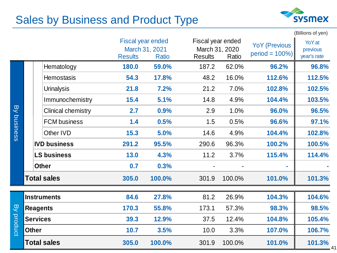# Sales by Business and Product Type



|                |                 |                           |                |                                                            |                                                       |        |                                           | (Billions of yen)                 |
|----------------|-----------------|---------------------------|----------------|------------------------------------------------------------|-------------------------------------------------------|--------|-------------------------------------------|-----------------------------------|
|                |                 |                           | <b>Results</b> | <b>Fiscal year ended</b><br>March 31, 2021<br><b>Ratio</b> | Fiscal year ended<br>March 31, 2020<br><b>Results</b> | Ratio  | <b>YoY (Previous</b><br>$period = 100\%)$ | YoY at<br>previous<br>year's rate |
|                |                 | Hematology                | 180.0          | 59.0%                                                      | 187.2                                                 | 62.0%  | 96.2%                                     | 96.8%                             |
|                |                 | <b>Hemostasis</b>         | 54.3           | 17.8%                                                      | 48.2                                                  | 16.0%  | 112.6%                                    | 112.5%                            |
|                |                 | <b>Urinalysis</b>         | 21.8           | 7.2%                                                       | 21.2                                                  | 7.0%   | 102.8%                                    | 102.5%                            |
|                |                 | Immunochemistry           | 15.4           | 5.1%                                                       | 14.8                                                  | 4.9%   | 104.4%                                    | 103.5%                            |
| $\overline{B}$ |                 | <b>Clinical chemistry</b> | 2.7            | 0.9%                                                       | 2.9                                                   | 1.0%   | 96.0%                                     | 96.5%                             |
| business       |                 | <b>FCM</b> business       | 1.4            | 0.5%                                                       | 1.5                                                   | 0.5%   | 96.6%                                     | 97.1%                             |
|                |                 | Other IVD                 | 15.3           | 5.0%                                                       | 14.6                                                  | 4.9%   | 104.4%                                    | 102.8%                            |
|                |                 | <b>IVD business</b>       | 291.2          | 95.5%                                                      | 290.6                                                 | 96.3%  | 100.2%                                    | 100.5%                            |
|                |                 | <b>LS business</b>        | 13.0           | 4.3%                                                       | 11.2                                                  | 3.7%   | 115.4%                                    | 114.4%                            |
|                |                 | <b>Other</b>              | 0.7            | 0.3%                                                       |                                                       |        |                                           |                                   |
|                |                 | <b>Total sales</b>        | 305.0          | 100.0%                                                     | 301.9                                                 | 100.0% | 101.0%                                    | 101.3%                            |
|                |                 | <b>Instruments</b>        | 84.6           | 27.8%                                                      | 81.2                                                  | 26.9%  | 104.3%                                    | 104.6%                            |
| $\overline{S}$ | <b>Reagents</b> |                           | 170.3          | 55.8%                                                      | 173.1                                                 | 57.3%  | 98.3%                                     | 98.5%                             |
|                | <b>Services</b> |                           | 39.3           | 12.9%                                                      | 37.5                                                  | 12.4%  | 104.8%                                    | 105.4%                            |
| product        | <b>Other</b>    |                           | 10.7           | 3.5%                                                       | 10.0                                                  | 3.3%   | 107.0%                                    | 106.7%                            |
|                |                 | <b>Total sales</b>        | 305.0          | 100.0%                                                     | 301.9                                                 | 100.0% | 101.0%                                    | 101.3%                            |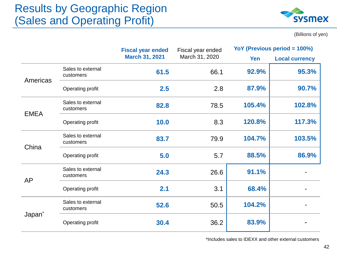## Results by Geographic Region (Sales and Operating Profit)



(Billions of yen)

|                    |                                | <b>Fiscal year ended</b><br>Fiscal year ended |                | YoY (Previous period = 100%) |                       |
|--------------------|--------------------------------|-----------------------------------------------|----------------|------------------------------|-----------------------|
|                    |                                | <b>March 31, 2021</b>                         | March 31, 2020 | Yen                          | <b>Local currency</b> |
| Americas           | Sales to external<br>customers | 61.5                                          | 66.1           | 92.9%                        | 95.3%                 |
|                    | Operating profit               | 2.5                                           | 2.8            | 87.9%                        | 90.7%                 |
| <b>EMEA</b>        | Sales to external<br>customers | 82.8                                          | 78.5           | 105.4%                       | 102.8%                |
|                    | Operating profit               | 10.0                                          | 8.3            | 120.8%                       | 117.3%                |
| China              | Sales to external<br>customers | 83.7                                          | 79.9           | 104.7%                       | 103.5%                |
|                    | Operating profit               | 5.0                                           | 5.7            | 88.5%                        | 86.9%                 |
| <b>AP</b>          | Sales to external<br>customers | 24.3                                          | 26.6           | 91.1%                        |                       |
|                    | Operating profit               | 2.1                                           | 3.1            | 68.4%                        |                       |
| Japan <sup>*</sup> | Sales to external<br>customers | 52.6                                          | 50.5           | 104.2%                       |                       |
|                    | Operating profit               | 30.4                                          | 36.2           | 83.9%                        |                       |

\*Includes sales to IDEXX and other external customers